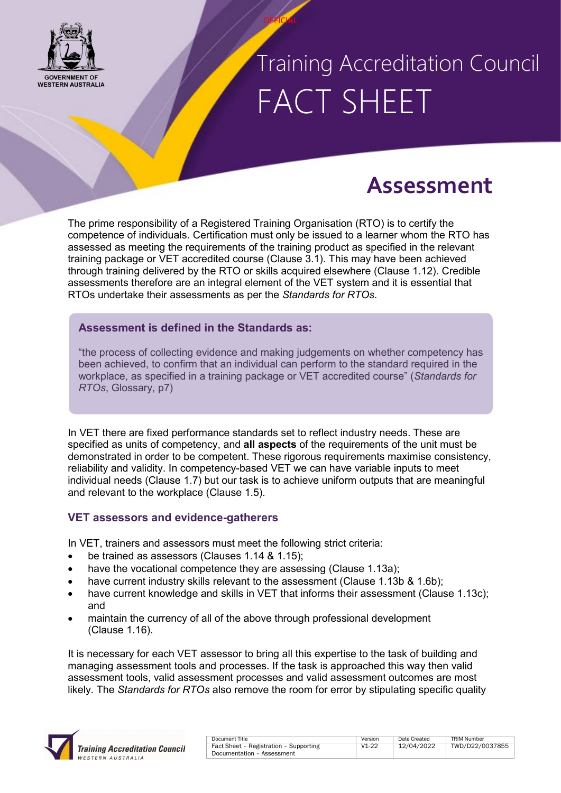

### Training Accreditation Council FACT SHEET

### **Assessment**

The prime responsibility of a Registered Training Organisation (RTO) is to certify the competence of individuals. Certification must only be issued to a learner whom the RTO has assessed as meeting the requirements of the training product as specified in the relevant training package or VET accredited course (Clause 3.1). This may have been achieved through training delivered by the RTO or skills acquired elsewhere (Clause 1.12). Credible assessments therefore are an integral element of the VET system and it is essential that RTOs undertake their assessments as per the *Standards for RTOs*.

**OFFICIAL** 

### **Assessment is defined in the Standards as:**

"the process of collecting evidence and making judgements on whether competency has been achieved, to confirm that an individual can perform to the standard required in the workplace, as specified in a training package or VET accredited course" (*Standards for RTOs*, Glossary, p7)

In VET there are fixed performance standards set to reflect industry needs. These are specified as units of competency, and **all aspects** of the requirements of the unit must be demonstrated in order to be competent. These rigorous requirements maximise consistency, reliability and validity. In competency-based VET we can have variable inputs to meet individual needs (Clause 1.7) but our task is to achieve uniform outputs that are meaningful and relevant to the workplace (Clause 1.5).

#### **VET assessors and evidence-gatherers**

In VET, trainers and assessors must meet the following strict criteria:

- be trained as assessors (Clauses 1.14 & 1.15);
- have the vocational competence they are assessing (Clause 1.13a);
- have current industry skills relevant to the assessment (Clause 1.13b & 1.6b);
- have current knowledge and skills in VET that informs their assessment (Clause 1.13c); and
- maintain the currency of all of the above through professional development (Clause 1.16).

It is necessary for each VET assessor to bring all this expertise to the task of building and managing assessment tools and processes. If the task is approached this way then valid assessment tools, valid assessment processes and valid assessment outcomes are most likely. The *Standards for RTOs* also remove the room for error by stipulating specific quality



| Document Title                         | Version   | Date Created | <b>TRIM Number</b> |
|----------------------------------------|-----------|--------------|--------------------|
| Fact Sheet - Registration - Supporting | $V1 - 22$ | 12/04/2022   | TWD/D22/0037855    |
| Documentation - Assessment             |           |              |                    |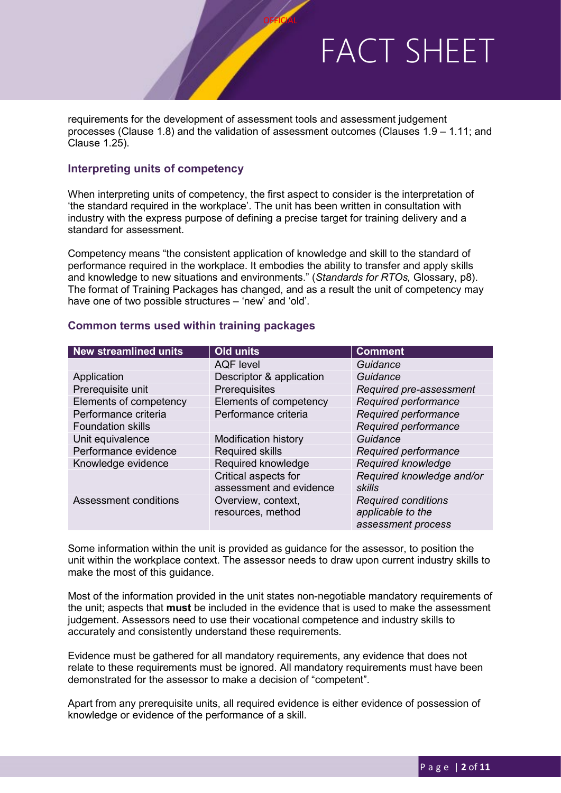requirements for the development of assessment tools and assessment judgement processes (Clause 1.8) and the validation of assessment outcomes (Clauses 1.9 – 1.11; and Clause 1.25).

**OFFICIAL** 

#### **Interpreting units of competency**

When interpreting units of competency, the first aspect to consider is the interpretation of 'the standard required in the workplace'. The unit has been written in consultation with industry with the express purpose of defining a precise target for training delivery and a standard for assessment.

Competency means "the consistent application of knowledge and skill to the standard of performance required in the workplace. It embodies the ability to transfer and apply skills and knowledge to new situations and environments." (*Standards for RTOs,* Glossary, p8). The format of Training Packages has changed, and as a result the unit of competency may have one of two possible structures – 'new' and 'old'.

#### **Common terms used within training packages**

| <b>New streamlined units</b> | <b>Old units</b>                                | <b>Comment</b>                                                        |  |
|------------------------------|-------------------------------------------------|-----------------------------------------------------------------------|--|
|                              | <b>AQF</b> level                                | Guidance                                                              |  |
| Application                  | Descriptor & application                        | Guidance                                                              |  |
| Prerequisite unit            | Prerequisites                                   | Required pre-assessment                                               |  |
| Elements of competency       | Elements of competency                          | Required performance                                                  |  |
| Performance criteria         | Performance criteria                            | Required performance                                                  |  |
| <b>Foundation skills</b>     |                                                 | Required performance                                                  |  |
| Unit equivalence             | <b>Modification history</b>                     | Guidance                                                              |  |
| Performance evidence         | <b>Required skills</b>                          | Required performance                                                  |  |
| Knowledge evidence           | Required knowledge                              | Required knowledge                                                    |  |
|                              | Critical aspects for<br>assessment and evidence | Required knowledge and/or<br>skills                                   |  |
| Assessment conditions        | Overview, context,<br>resources, method         | <b>Required conditions</b><br>applicable to the<br>assessment process |  |

Some information within the unit is provided as guidance for the assessor, to position the unit within the workplace context. The assessor needs to draw upon current industry skills to make the most of this guidance.

Most of the information provided in the unit states non-negotiable mandatory requirements of the unit; aspects that **must** be included in the evidence that is used to make the assessment judgement. Assessors need to use their vocational competence and industry skills to accurately and consistently understand these requirements.

Evidence must be gathered for all mandatory requirements, any evidence that does not relate to these requirements must be ignored. All mandatory requirements must have been demonstrated for the assessor to make a decision of "competent".

Apart from any prerequisite units, all required evidence is either evidence of possession of knowledge or evidence of the performance of a skill.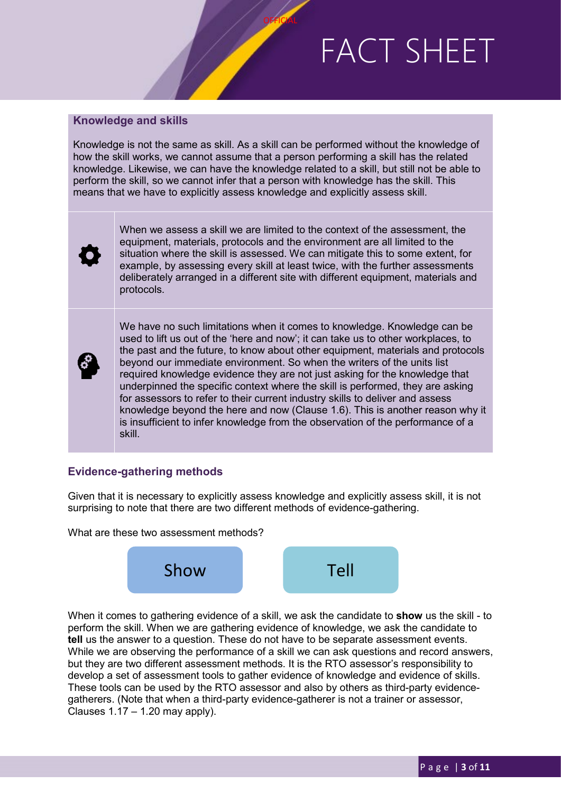#### **Knowledge and skills**

Knowledge is not the same as skill. As a skill can be performed without the knowledge of how the skill works, we cannot assume that a person performing a skill has the related knowledge. Likewise, we can have the knowledge related to a skill, but still not be able to perform the skill, so we cannot infer that a person with knowledge has the skill. This means that we have to explicitly assess knowledge and explicitly assess skill.

**OFFICIAL** 

When we assess a skill we are limited to the context of the assessment, the equipment, materials, protocols and the environment are all limited to the situation where the skill is assessed. We can mitigate this to some extent, for example, by assessing every skill at least twice, with the further assessments deliberately arranged in a different site with different equipment, materials and protocols.

We have no such limitations when it comes to knowledge. Knowledge can be used to lift us out of the 'here and now'; it can take us to other workplaces, to the past and the future, to know about other equipment, materials and protocols beyond our immediate environment. So when the writers of the units list required knowledge evidence they are not just asking for the knowledge that underpinned the specific context where the skill is performed, they are asking for assessors to refer to their current industry skills to deliver and assess knowledge beyond the here and now (Clause 1.6). This is another reason why it is insufficient to infer knowledge from the observation of the performance of a skill.

#### **Evidence-gathering methods**

Given that it is necessary to explicitly assess knowledge and explicitly assess skill, it is not surprising to note that there are two different methods of evidence-gathering.

What are these two assessment methods?



When it comes to gathering evidence of a skill, we ask the candidate to **show** us the skill - to perform the skill. When we are gathering evidence of knowledge, we ask the candidate to **tell** us the answer to a question. These do not have to be separate assessment events. While we are observing the performance of a skill we can ask questions and record answers, but they are two different assessment methods. It is the RTO assessor's responsibility to develop a set of assessment tools to gather evidence of knowledge and evidence of skills. These tools can be used by the RTO assessor and also by others as third-party evidencegatherers. (Note that when a third-party evidence-gatherer is not a trainer or assessor, Clauses  $1.17 - 1.20$  may apply).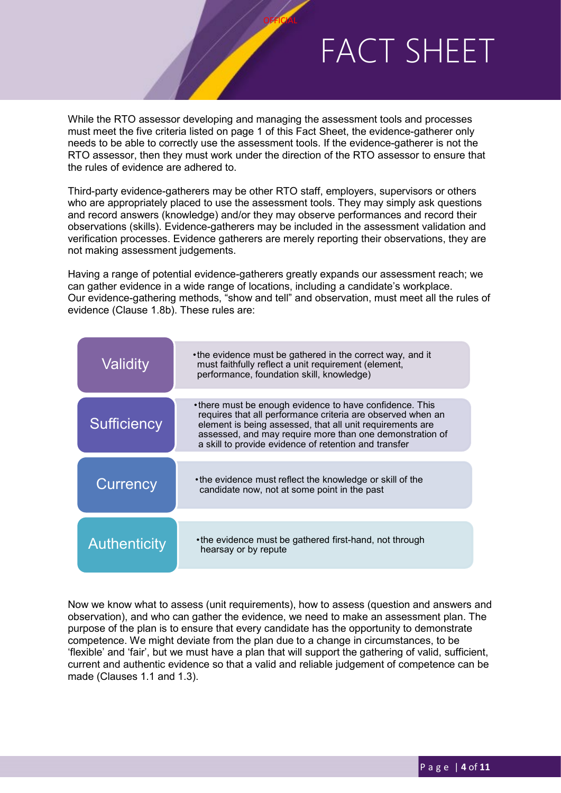While the RTO assessor developing and managing the assessment tools and processes must meet the five criteria listed on page 1 of this Fact Sheet, the evidence-gatherer only needs to be able to correctly use the assessment tools. If the evidence-gatherer is not the RTO assessor, then they must work under the direction of the RTO assessor to ensure that the rules of evidence are adhered to.

**OFFICIAL** 

Third-party evidence-gatherers may be other RTO staff, employers, supervisors or others who are appropriately placed to use the assessment tools. They may simply ask questions and record answers (knowledge) and/or they may observe performances and record their observations (skills). Evidence-gatherers may be included in the assessment validation and verification processes. Evidence gatherers are merely reporting their observations, they are not making assessment judgements.

Having a range of potential evidence-gatherers greatly expands our assessment reach; we can gather evidence in a wide range of locations, including a candidate's workplace. Our evidence-gathering methods, "show and tell" and observation, must meet all the rules of evidence (Clause 1.8b). These rules are:

| Validity            | • the evidence must be gathered in the correct way, and it<br>must faithfully reflect a unit requirement (element,<br>performance, foundation skill, knowledge)                                                                                                                                          |
|---------------------|----------------------------------------------------------------------------------------------------------------------------------------------------------------------------------------------------------------------------------------------------------------------------------------------------------|
| Sufficiency         | •there must be enough evidence to have confidence. This<br>requires that all performance criteria are observed when an<br>element is being assessed, that all unit requirements are<br>assessed, and may require more than one demonstration of<br>a skill to provide evidence of retention and transfer |
| Currency            | •the evidence must reflect the knowledge or skill of the<br>candidate now, not at some point in the past                                                                                                                                                                                                 |
| <b>Authenticity</b> | • the evidence must be gathered first-hand, not through<br>hearsay or by repute                                                                                                                                                                                                                          |

Now we know what to assess (unit requirements), how to assess (question and answers and observation), and who can gather the evidence, we need to make an assessment plan. The purpose of the plan is to ensure that every candidate has the opportunity to demonstrate competence. We might deviate from the plan due to a change in circumstances, to be 'flexible' and 'fair', but we must have a plan that will support the gathering of valid, sufficient, current and authentic evidence so that a valid and reliable judgement of competence can be made (Clauses 1.1 and 1.3).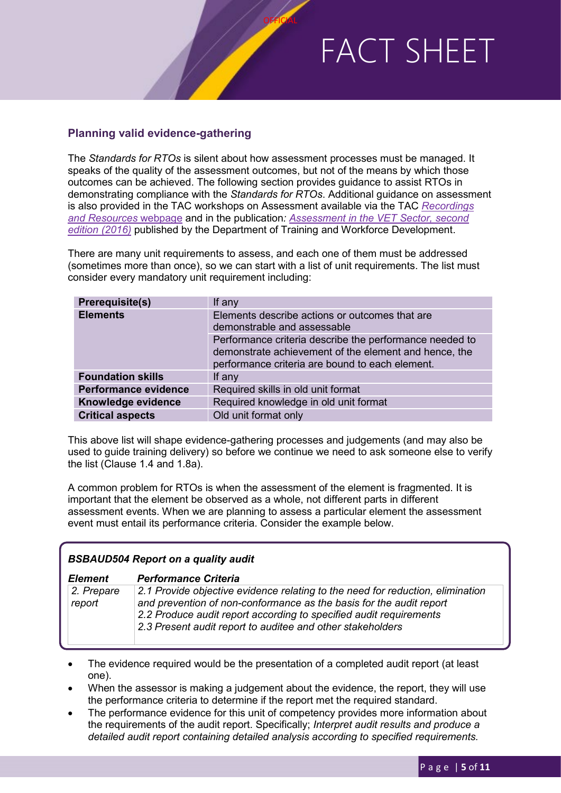### **Planning valid evidence-gathering**

The *Standards for RTOs* is silent about how assessment processes must be managed. It speaks of the quality of the assessment outcomes, but not of the means by which those outcomes can be achieved. The following section provides guidance to assist RTOs in demonstrating compliance with the *Standards for RTOs*. Additional guidance on assessment is also provided in the TAC workshops on Assessment available via the TAC *[Recordings](https://www.tac.wa.gov.au/about-us/Pages/Professional-Development-Recordings-and-Resources.aspx)  [and Resources](https://www.tac.wa.gov.au/about-us/Pages/Professional-Development-Recordings-and-Resources.aspx)* webpage and in the publication*: Assessment in the VET Sector, second edition (2016)* published by the Department of Training and Workforce Development.

**OFFICIAL** 

There are many unit requirements to assess, and each one of them must be addressed (sometimes more than once), so we can start with a list of unit requirements. The list must consider every mandatory unit requirement including:

| <b>Prerequisite(s)</b>   | If any                                                                                                                                                              |
|--------------------------|---------------------------------------------------------------------------------------------------------------------------------------------------------------------|
| <b>Elements</b>          | Elements describe actions or outcomes that are<br>demonstrable and assessable                                                                                       |
|                          | Performance criteria describe the performance needed to<br>demonstrate achievement of the element and hence, the<br>performance criteria are bound to each element. |
| <b>Foundation skills</b> | If any                                                                                                                                                              |
| Performance evidence     | Required skills in old unit format                                                                                                                                  |
| Knowledge evidence       | Required knowledge in old unit format                                                                                                                               |
| <b>Critical aspects</b>  | Old unit format only                                                                                                                                                |

This above list will shape evidence-gathering processes and judgements (and may also be used to guide training delivery) so before we continue we need to ask someone else to verify the list (Clause 1.4 and 1.8a).

A common problem for RTOs is when the assessment of the element is fragmented. It is important that the element be observed as a whole, not different parts in different assessment events. When we are planning to assess a particular element the assessment event must entail its performance criteria. Consider the example below.

| <b>BSBAUD504 Report on a quality audit</b> |                                                                                                                                                                                                                                                                                           |  |  |  |  |
|--------------------------------------------|-------------------------------------------------------------------------------------------------------------------------------------------------------------------------------------------------------------------------------------------------------------------------------------------|--|--|--|--|
| Element                                    | <b>Performance Criteria</b>                                                                                                                                                                                                                                                               |  |  |  |  |
| 2. Prepare<br>report                       | 2.1 Provide objective evidence relating to the need for reduction, elimination<br>and prevention of non-conformance as the basis for the audit report<br>2.2 Produce audit report according to specified audit requirements<br>2.3 Present audit report to auditee and other stakeholders |  |  |  |  |

- The evidence required would be the presentation of a completed audit report (at least one).
- When the assessor is making a judgement about the evidence, the report, they will use the performance criteria to determine if the report met the required standard.
- The performance evidence for this unit of competency provides more information about the requirements of the audit report. Specifically; *Interpret audit results and produce a detailed audit report containing detailed analysis according to specified requirements.*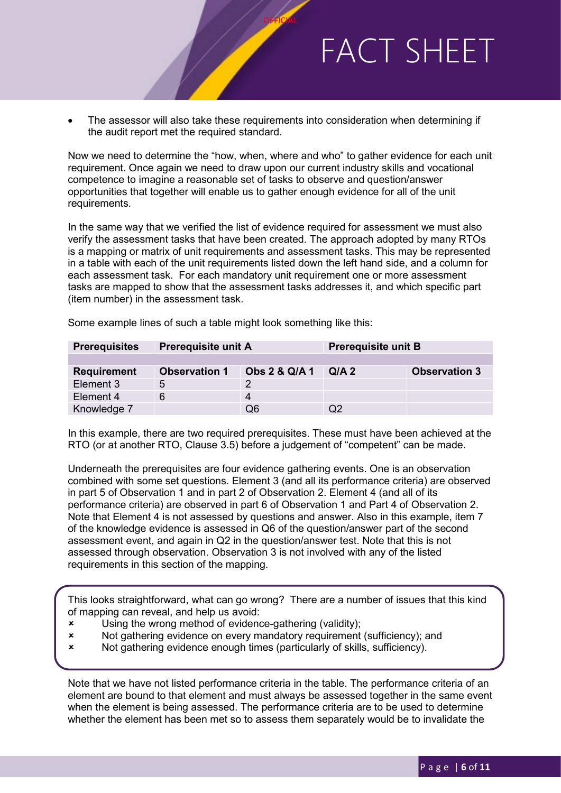• The assessor will also take these requirements into consideration when determining if the audit report met the required standard.

**OFFICIAL** 

Now we need to determine the "how, when, where and who" to gather evidence for each unit requirement. Once again we need to draw upon our current industry skills and vocational competence to imagine a reasonable set of tasks to observe and question/answer opportunities that together will enable us to gather enough evidence for all of the unit requirements.

In the same way that we verified the list of evidence required for assessment we must also verify the assessment tasks that have been created. The approach adopted by many RTOs is a mapping or matrix of unit requirements and assessment tasks. This may be represented in a table with each of the unit requirements listed down the left hand side, and a column for each assessment task. For each mandatory unit requirement one or more assessment tasks are mapped to show that the assessment tasks addresses it, and which specific part (item number) in the assessment task.

| <b>Prerequisites</b> | <b>Prerequisite unit A</b> |               | <b>Prerequisite unit B</b> |                      |  |
|----------------------|----------------------------|---------------|----------------------------|----------------------|--|
|                      |                            |               |                            |                      |  |
| <b>Requirement</b>   | <b>Observation 1</b>       | Obs 2 & Q/A 1 | $Q/A$ 2                    | <b>Observation 3</b> |  |
| Element 3            | 5                          |               |                            |                      |  |
| Element 4            | 6                          | 4             |                            |                      |  |
| Knowledge 7          |                            | Q6            |                            |                      |  |

Some example lines of such a table might look something like this:

In this example, there are two required prerequisites. These must have been achieved at the RTO (or at another RTO, Clause 3.5) before a judgement of "competent" can be made.

Underneath the prerequisites are four evidence gathering events. One is an observation combined with some set questions. Element 3 (and all its performance criteria) are observed in part 5 of Observation 1 and in part 2 of Observation 2. Element 4 (and all of its performance criteria) are observed in part 6 of Observation 1 and Part 4 of Observation 2. Note that Element 4 is not assessed by questions and answer. Also in this example, item 7 of the knowledge evidence is assessed in Q6 of the question/answer part of the second assessment event, and again in Q2 in the question/answer test. Note that this is not assessed through observation. Observation 3 is not involved with any of the listed requirements in this section of the mapping.

This looks straightforward, what can go wrong? There are a number of issues that this kind of mapping can reveal, and help us avoid:

- x Using the wrong method of evidence-gathering (validity);<br>x Mot gathering evidence on every mandatory requirement
- Not gathering evidence on every mandatory requirement (sufficiency); and
- Not gathering evidence enough times (particularly of skills, sufficiency).

Note that we have not listed performance criteria in the table. The performance criteria of an element are bound to that element and must always be assessed together in the same event when the element is being assessed. The performance criteria are to be used to determine whether the element has been met so to assess them separately would be to invalidate the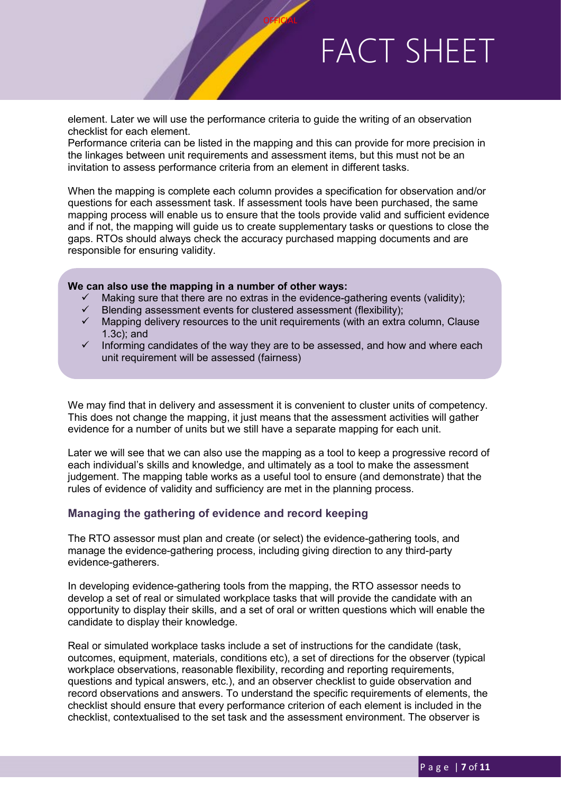element. Later we will use the performance criteria to guide the writing of an observation checklist for each element.

Performance criteria can be listed in the mapping and this can provide for more precision in the linkages between unit requirements and assessment items, but this must not be an invitation to assess performance criteria from an element in different tasks.

**OFFICIAL** 

When the mapping is complete each column provides a specification for observation and/or questions for each assessment task. If assessment tools have been purchased, the same mapping process will enable us to ensure that the tools provide valid and sufficient evidence and if not, the mapping will guide us to create supplementary tasks or questions to close the gaps. RTOs should always check the accuracy purchased mapping documents and are responsible for ensuring validity.

#### **We can also use the mapping in a number of other ways:**

- Making sure that there are no extras in the evidence-gathering events (validity);
- $\checkmark$  Blending assessment events for clustered assessment (flexibility);<br> $\checkmark$  Mapping delivery resources to the unit requirements (with an extra
- Mapping delivery resources to the unit requirements (with an extra column, Clause 1.3c); and
- Informing candidates of the way they are to be assessed, and how and where each unit requirement will be assessed (fairness)

We may find that in delivery and assessment it is convenient to cluster units of competency. This does not change the mapping, it just means that the assessment activities will gather evidence for a number of units but we still have a separate mapping for each unit.

Later we will see that we can also use the mapping as a tool to keep a progressive record of each individual's skills and knowledge, and ultimately as a tool to make the assessment judgement. The mapping table works as a useful tool to ensure (and demonstrate) that the rules of evidence of validity and sufficiency are met in the planning process.

#### **Managing the gathering of evidence and record keeping**

The RTO assessor must plan and create (or select) the evidence-gathering tools, and manage the evidence-gathering process, including giving direction to any third-party evidence-gatherers.

In developing evidence-gathering tools from the mapping, the RTO assessor needs to develop a set of real or simulated workplace tasks that will provide the candidate with an opportunity to display their skills, and a set of oral or written questions which will enable the candidate to display their knowledge.

Real or simulated workplace tasks include a set of instructions for the candidate (task, outcomes, equipment, materials, conditions etc), a set of directions for the observer (typical workplace observations, reasonable flexibility, recording and reporting requirements, questions and typical answers, etc.), and an observer checklist to guide observation and record observations and answers. To understand the specific requirements of elements, the checklist should ensure that every performance criterion of each element is included in the checklist, contextualised to the set task and the assessment environment. The observer is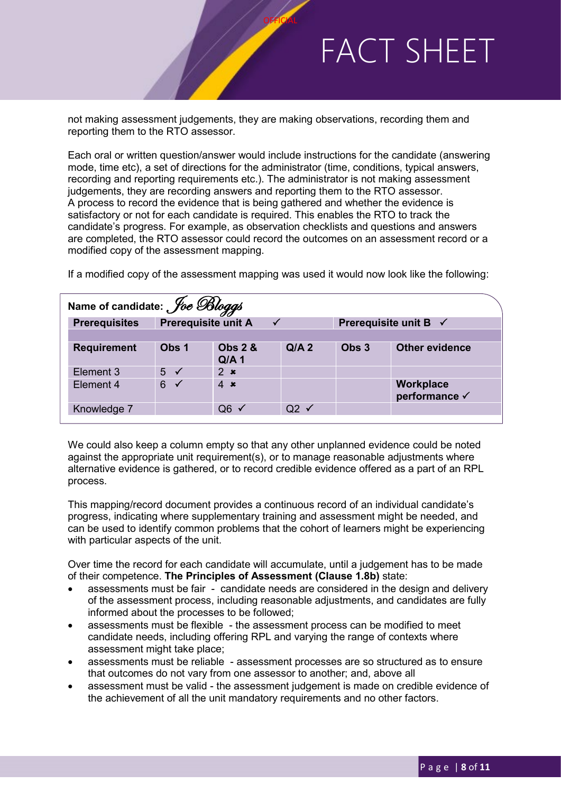not making assessment judgements, they are making observations, recording them and reporting them to the RTO assessor.

**OFFICIAL** 

Each oral or written question/answer would include instructions for the candidate (answering mode, time etc), a set of directions for the administrator (time, conditions, typical answers, recording and reporting requirements etc.). The administrator is not making assessment judgements, they are recording answers and reporting them to the RTO assessor. A process to record the evidence that is being gathered and whether the evidence is satisfactory or not for each candidate is required. This enables the RTO to track the candidate's progress. For example, as observation checklists and questions and answers are completed, the RTO assessor could record the outcomes on an assessment record or a modified copy of the assessment mapping.

| Name of candidate: <i>Joe Bloggs</i> |                |                                            |                 |                                  |                                   |  |  |
|--------------------------------------|----------------|--------------------------------------------|-----------------|----------------------------------|-----------------------------------|--|--|
| <b>Prerequisites</b>                 |                | <b>Prerequisite unit A</b><br>$\checkmark$ |                 | Prerequisite unit B $\checkmark$ |                                   |  |  |
|                                      |                |                                            |                 |                                  |                                   |  |  |
| <b>Requirement</b>                   | Obs 1          | <b>Obs 2 &amp;</b><br>$Q/A$ 1              | $Q/A$ 2         | Obs 3                            | Other evidence                    |  |  |
| Element 3                            | $5 \checkmark$ | 2 x                                        |                 |                                  |                                   |  |  |
| Element 4                            | $6 \checkmark$ | $4 \times$                                 |                 |                                  | <b>Workplace</b><br>performance √ |  |  |
| Knowledge 7                          |                | $Q6 \checkmark$                            | $Q2 \checkmark$ |                                  |                                   |  |  |
|                                      |                |                                            |                 |                                  |                                   |  |  |

If a modified copy of the assessment mapping was used it would now look like the following:

We could also keep a column empty so that any other unplanned evidence could be noted against the appropriate unit requirement(s), or to manage reasonable adjustments where alternative evidence is gathered, or to record credible evidence offered as a part of an RPL process.

This mapping/record document provides a continuous record of an individual candidate's progress, indicating where supplementary training and assessment might be needed, and can be used to identify common problems that the cohort of learners might be experiencing with particular aspects of the unit.

Over time the record for each candidate will accumulate, until a judgement has to be made of their competence. **The Principles of Assessment (Clause 1.8b)** state:

- assessments must be fair candidate needs are considered in the design and delivery of the assessment process, including reasonable adjustments, and candidates are fully informed about the processes to be followed;
- assessments must be flexible the assessment process can be modified to meet candidate needs, including offering RPL and varying the range of contexts where assessment might take place;
- assessments must be reliable assessment processes are so structured as to ensure that outcomes do not vary from one assessor to another; and, above all
- assessment must be valid the assessment judgement is made on credible evidence of the achievement of all the unit mandatory requirements and no other factors.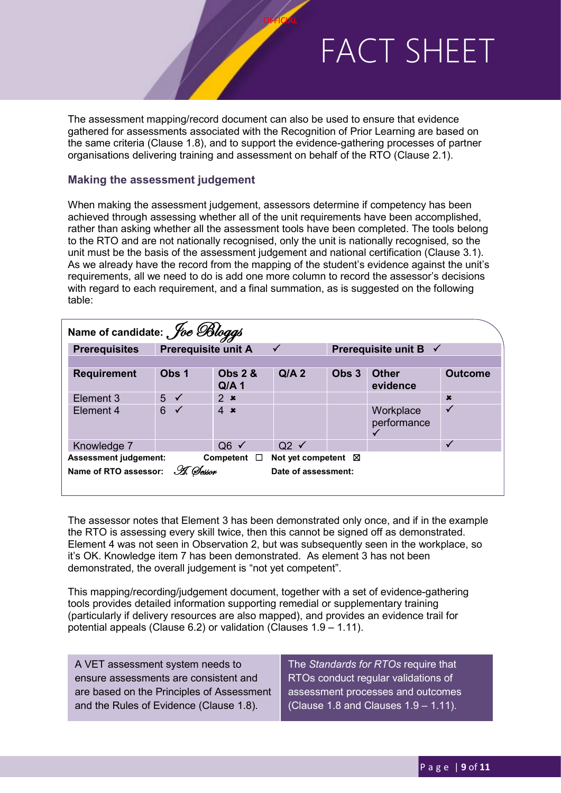The assessment mapping/record document can also be used to ensure that evidence gathered for assessments associated with the Recognition of Prior Learning are based on the same criteria (Clause 1.8), and to support the evidence-gathering processes of partner organisations delivering training and assessment on behalf of the RTO (Clause 2.1).

**OFFICIAL** 

#### **Making the assessment judgement**

When making the assessment judgement, assessors determine if competency has been achieved through assessing whether all of the unit requirements have been accomplished, rather than asking whether all the assessment tools have been completed. The tools belong to the RTO and are not nationally recognised, only the unit is nationally recognised, so the unit must be the basis of the assessment judgement and national certification (Clause 3.1). As we already have the record from the mapping of the student's evidence against the unit's requirements, all we need to do is add one more column to record the assessor's decisions with regard to each requirement, and a final summation, as is suggested on the following table:

| Name of candidate: <i>Joe Bloggs</i>                                            |                                            |                                        |                 |                                  |                          |                |  |
|---------------------------------------------------------------------------------|--------------------------------------------|----------------------------------------|-----------------|----------------------------------|--------------------------|----------------|--|
| <b>Prerequisites</b>                                                            | <b>Prerequisite unit A</b><br>$\checkmark$ |                                        |                 | Prerequisite unit B $\checkmark$ |                          |                |  |
|                                                                                 |                                            |                                        |                 |                                  |                          |                |  |
| <b>Requirement</b>                                                              | Obs 1                                      | <b>Obs 2 &amp;</b><br>Q/A <sub>1</sub> | Q/A2            | Obs 3                            | <b>Other</b><br>evidence | <b>Outcome</b> |  |
| Element 3                                                                       | $5\sqrt{ }$                                | 2 x                                    |                 |                                  |                          | $\mathbf x$    |  |
| Element 4                                                                       | 6<br>$\checkmark$                          | $4 \times$                             |                 |                                  | Workplace<br>performance |                |  |
| Knowledge 7                                                                     |                                            | $Q6 \checkmark$                        | $Q2 \checkmark$ |                                  |                          |                |  |
| <b>Assessment judgement:</b><br>Competent<br>Not yet competent $\boxtimes$<br>□ |                                            |                                        |                 |                                  |                          |                |  |
| Name of RTO assessor: H. Oesson<br>Date of assessment:                          |                                            |                                        |                 |                                  |                          |                |  |

The assessor notes that Element 3 has been demonstrated only once, and if in the example the RTO is assessing every skill twice, then this cannot be signed off as demonstrated. Element 4 was not seen in Observation 2, but was subsequently seen in the workplace, so it's OK. Knowledge item 7 has been demonstrated. As element 3 has not been demonstrated, the overall judgement is "not yet competent".

This mapping/recording/judgement document, together with a set of evidence-gathering tools provides detailed information supporting remedial or supplementary training (particularly if delivery resources are also mapped), and provides an evidence trail for potential appeals (Clause 6.2) or validation (Clauses 1.9 – 1.11).

A VET assessment system needs to ensure assessments are consistent and are based on the Principles of Assessment and the Rules of Evidence (Clause 1.8).

The *Standards for RTOs* require that RTOs conduct regular validations of assessment processes and outcomes (Clause 1.8 and Clauses 1.9 – 1.11).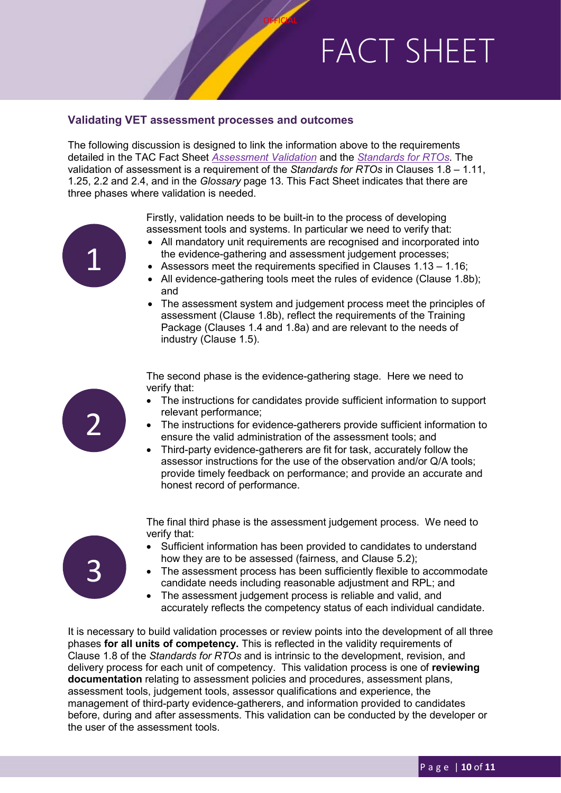#### **Validating VET assessment processes and outcomes**

The following discussion is designed to link the information above to the requirements detailed in the TAC Fact Sheet *[Assessment Validation](https://www.tac.wa.gov.au/SiteCollectionDocuments/2018-13795.pdf)* and the *[Standards for RTOs](https://www.legislation.gov.au/Details/F2019C00503)*. The validation of assessment is a requirement of the *Standards for RTOs* in Clauses 1.8 – 1.11, 1.25, 2.2 and 2.4, and in the *Glossary* page 13. This Fact Sheet indicates that there are three phases where validation is needed.

**OFFICIAL** 



Firstly, validation needs to be built-in to the process of developing assessment tools and systems. In particular we need to verify that:

- All mandatory unit requirements are recognised and incorporated into the evidence-gathering and assessment judgement processes;
- Assessors meet the requirements specified in Clauses  $1.13 1.16$ ;
- All evidence-gathering tools meet the rules of evidence (Clause 1.8b): and
- The assessment system and judgement process meet the principles of assessment (Clause 1.8b), reflect the requirements of the Training Package (Clauses 1.4 and 1.8a) and are relevant to the needs of industry (Clause 1.5).

The second phase is the evidence-gathering stage. Here we need to verify that:

- The instructions for candidates provide sufficient information to support relevant performance;
- The instructions for evidence-gatherers provide sufficient information to ensure the valid administration of the assessment tools; and
- Third-party evidence-gatherers are fit for task, accurately follow the assessor instructions for the use of the observation and/or Q/A tools; provide timely feedback on performance; and provide an accurate and honest record of performance.



2

- The final third phase is the assessment judgement process. We need to verify that:
- Sufficient information has been provided to candidates to understand how they are to be assessed (fairness, and Clause 5.2);
- The assessment process has been sufficiently flexible to accommodate candidate needs including reasonable adjustment and RPL; and
- The assessment judgement process is reliable and valid, and accurately reflects the competency status of each individual candidate.

It is necessary to build validation processes or review points into the development of all three phases **for all units of competency.** This is reflected in the validity requirements of Clause 1.8 of the *Standards for RTOs* and is intrinsic to the development, revision, and delivery process for each unit of competency. This validation process is one of **reviewing documentation** relating to assessment policies and procedures, assessment plans, assessment tools, judgement tools, assessor qualifications and experience, the management of third-party evidence-gatherers, and information provided to candidates before, during and after assessments. This validation can be conducted by the developer or the user of the assessment tools.